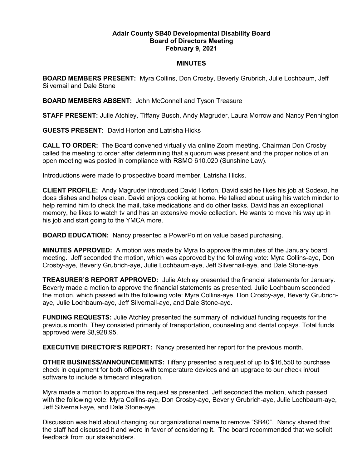## Adair County SB40 Developmental Disability Board Board of Directors Meeting February 9, 2021

## MINUTES

BOARD MEMBERS PRESENT: Myra Collins, Don Crosby, Beverly Grubrich, Julie Lochbaum, Jeff Silvernail and Dale Stone

BOARD MEMBERS ABSENT: John McConnell and Tyson Treasure

STAFF PRESENT: Julie Atchley, Tiffany Busch, Andy Magruder, Laura Morrow and Nancy Pennington

GUESTS PRESENT: David Horton and Latrisha Hicks

CALL TO ORDER: The Board convened virtually via online Zoom meeting. Chairman Don Crosby called the meeting to order after determining that a quorum was present and the proper notice of an open meeting was posted in compliance with RSMO 610.020 (Sunshine Law).

Introductions were made to prospective board member, Latrisha Hicks.

CLIENT PROFILE: Andy Magruder introduced David Horton. David said he likes his job at Sodexo, he does dishes and helps clean. David enjoys cooking at home. He talked about using his watch minder to help remind him to check the mail, take medications and do other tasks. David has an exceptional memory, he likes to watch tv and has an extensive movie collection. He wants to move his way up in his job and start going to the YMCA more.

BOARD EDUCATION: Nancy presented a PowerPoint on value based purchasing.

MINUTES APPROVED: A motion was made by Myra to approve the minutes of the January board meeting. Jeff seconded the motion, which was approved by the following vote: Myra Collins-aye, Don Crosby-aye, Beverly Grubrich-aye, Julie Lochbaum-aye, Jeff Silvernail-aye, and Dale Stone-aye.

TREASURER'S REPORT APPROVED: Julie Atchley presented the financial statements for January. Beverly made a motion to approve the financial statements as presented. Julie Lochbaum seconded the motion, which passed with the following vote: Myra Collins-aye, Don Crosby-aye, Beverly Grubrichaye, Julie Lochbaum-aye, Jeff Silvernail-aye, and Dale Stone-aye.

FUNDING REQUESTS: Julie Atchley presented the summary of individual funding requests for the previous month. They consisted primarily of transportation, counseling and dental copays. Total funds approved were \$8,928.95.

EXECUTIVE DIRECTOR'S REPORT: Nancy presented her report for the previous month.

OTHER BUSINESS/ANNOUNCEMENTS: Tiffany presented a request of up to \$16,550 to purchase check in equipment for both offices with temperature devices and an upgrade to our check in/out software to include a timecard integration.

Myra made a motion to approve the request as presented. Jeff seconded the motion, which passed with the following vote: Myra Collins-aye, Don Crosby-aye, Beverly Grubrich-aye, Julie Lochbaum-aye, Jeff Silvernail-aye, and Dale Stone-aye.

Discussion was held about changing our organizational name to remove "SB40". Nancy shared that the staff had discussed it and were in favor of considering it. The board recommended that we solicit feedback from our stakeholders.